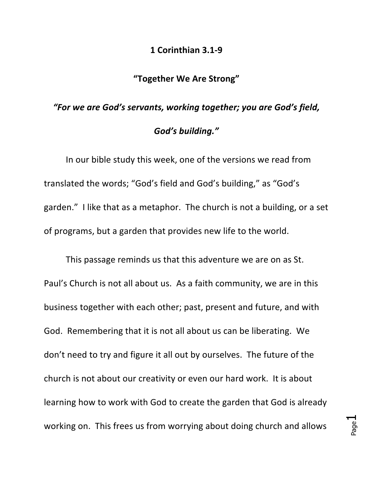## **1 Corinthian 3.1-9**

## **"Together We Are Strong"**

## "For we are God's servants, working together; you are God's field, God's building."

In our bible study this week, one of the versions we read from translated the words; "God's field and God's building," as "God's garden." I like that as a metaphor. The church is not a building, or a set of programs, but a garden that provides new life to the world.

This passage reminds us that this adventure we are on as St. Paul's Church is not all about us. As a faith community, we are in this business together with each other; past, present and future, and with God. Remembering that it is not all about us can be liberating. We don't need to try and figure it all out by ourselves. The future of the church is not about our creativity or even our hard work. It is about learning how to work with God to create the garden that God is already working on. This frees us from worrying about doing church and allows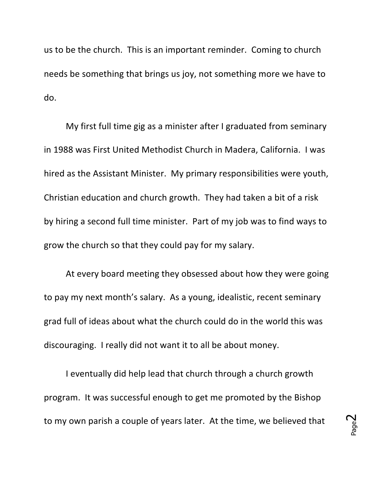us to be the church. This is an important reminder. Coming to church needs be something that brings us joy, not something more we have to do.

My first full time gig as a minister after I graduated from seminary in 1988 was First United Methodist Church in Madera, California. I was hired as the Assistant Minister. My primary responsibilities were youth, Christian education and church growth. They had taken a bit of a risk by hiring a second full time minister. Part of my job was to find ways to grow the church so that they could pay for my salary.

At every board meeting they obsessed about how they were going to pay my next month's salary. As a young, idealistic, recent seminary grad full of ideas about what the church could do in the world this was discouraging. I really did not want it to all be about money.

I eventually did help lead that church through a church growth program. It was successful enough to get me promoted by the Bishop to my own parish a couple of years later. At the time, we believed that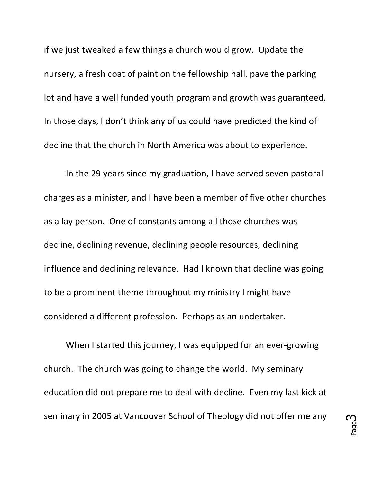if we just tweaked a few things a church would grow. Update the nursery, a fresh coat of paint on the fellowship hall, pave the parking lot and have a well funded youth program and growth was guaranteed. In those days, I don't think any of us could have predicted the kind of decline that the church in North America was about to experience.

In the 29 years since my graduation, I have served seven pastoral charges as a minister, and I have been a member of five other churches as a lay person. One of constants among all those churches was decline, declining revenue, declining people resources, declining influence and declining relevance. Had I known that decline was going to be a prominent theme throughout my ministry I might have considered a different profession. Perhaps as an undertaker.

When I started this journey, I was equipped for an ever-growing church. The church was going to change the world. My seminary education did not prepare me to deal with decline. Even my last kick at seminary in 2005 at Vancouver School of Theology did not offer me any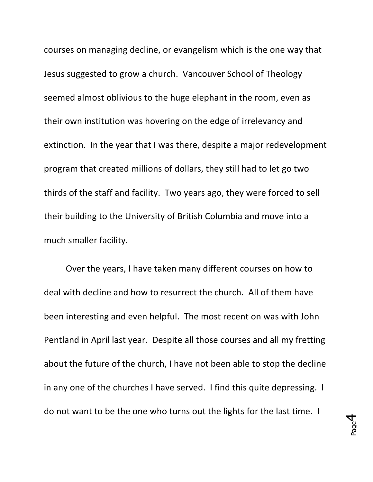courses on managing decline, or evangelism which is the one way that Jesus suggested to grow a church. Vancouver School of Theology seemed almost oblivious to the huge elephant in the room, even as their own institution was hovering on the edge of irrelevancy and extinction. In the year that I was there, despite a major redevelopment program that created millions of dollars, they still had to let go two thirds of the staff and facility. Two years ago, they were forced to sell their building to the University of British Columbia and move into a much smaller facility.

Over the years, I have taken many different courses on how to deal with decline and how to resurrect the church. All of them have been interesting and even helpful. The most recent on was with John Pentland in April last year. Despite all those courses and all my fretting about the future of the church, I have not been able to stop the decline in any one of the churches I have served. I find this quite depressing. I do not want to be the one who turns out the lights for the last time. I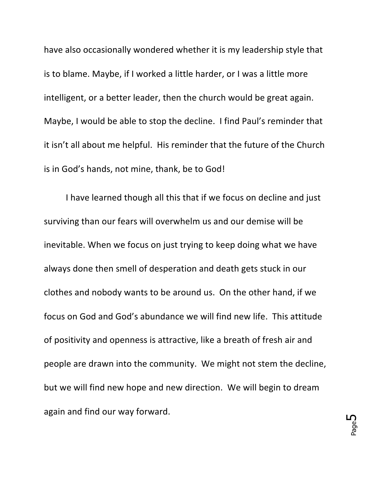have also occasionally wondered whether it is my leadership style that is to blame. Maybe, if I worked a little harder, or I was a little more intelligent, or a better leader, then the church would be great again. Maybe, I would be able to stop the decline. I find Paul's reminder that it isn't all about me helpful. His reminder that the future of the Church is in God's hands, not mine, thank, be to God!

I have learned though all this that if we focus on decline and just surviving than our fears will overwhelm us and our demise will be inevitable. When we focus on just trying to keep doing what we have always done then smell of desperation and death gets stuck in our clothes and nobody wants to be around us. On the other hand, if we focus on God and God's abundance we will find new life. This attitude of positivity and openness is attractive, like a breath of fresh air and people are drawn into the community. We might not stem the decline, but we will find new hope and new direction. We will begin to dream again and find our way forward.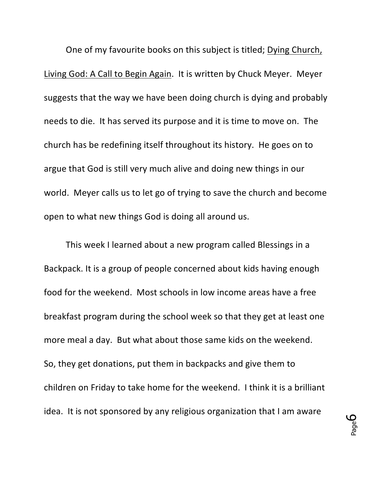One of my favourite books on this subject is titled; Dying Church, Living God: A Call to Begin Again. It is written by Chuck Meyer. Meyer suggests that the way we have been doing church is dying and probably needs to die. It has served its purpose and it is time to move on. The church has be redefining itself throughout its history. He goes on to argue that God is still very much alive and doing new things in our world. Meyer calls us to let go of trying to save the church and become open to what new things God is doing all around us.

This week I learned about a new program called Blessings in a Backpack. It is a group of people concerned about kids having enough food for the weekend. Most schools in low income areas have a free breakfast program during the school week so that they get at least one more meal a day. But what about those same kids on the weekend. So, they get donations, put them in backpacks and give them to children on Friday to take home for the weekend. I think it is a brilliant idea. It is not sponsored by any religious organization that I am aware

Page 6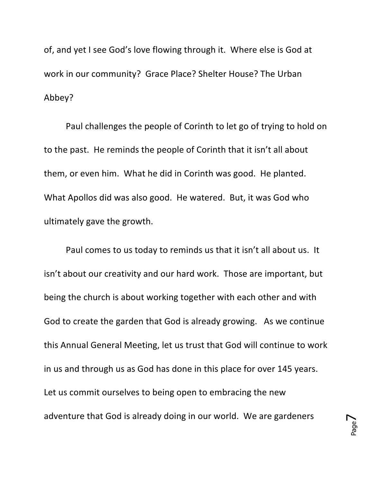of, and yet I see God's love flowing through it. Where else is God at work in our community? Grace Place? Shelter House? The Urban Abbey?

Paul challenges the people of Corinth to let go of trying to hold on to the past. He reminds the people of Corinth that it isn't all about them, or even him. What he did in Corinth was good. He planted. What Apollos did was also good. He watered. But, it was God who ultimately gave the growth.

Paul comes to us today to reminds us that it isn't all about us. It isn't about our creativity and our hard work. Those are important, but being the church is about working together with each other and with God to create the garden that God is already growing. As we continue this Annual General Meeting, let us trust that God will continue to work in us and through us as God has done in this place for over 145 years. Let us commit ourselves to being open to embracing the new adventure that God is already doing in our world. We are gardeners

Page  $\blacktriangleright$